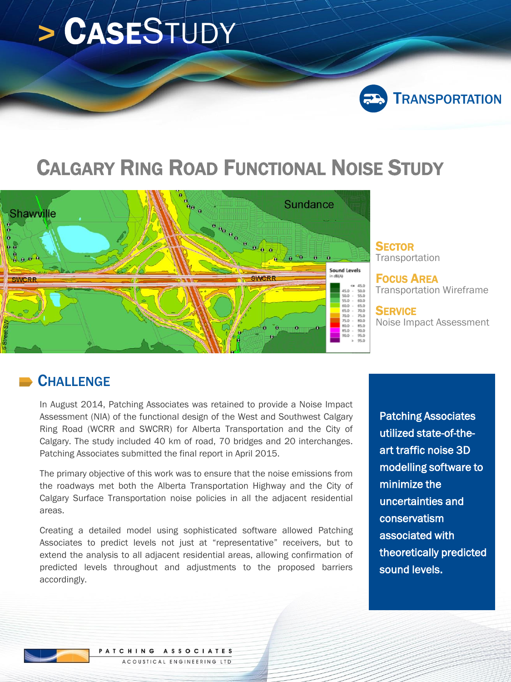# **>** CASESTUDY



# CALGARY RING ROAD FUNCTIONAL NOISE STUDY



**SECTOR** Transportation

FOCUS AREA Transportation Wireframe

**SERVICE** Noise Impact Assessment

#### **CHALLENGE**

In August 2014, Patching Associates was retained to provide a Noise Impact Assessment (NIA) of the functional design of the West and Southwest Calgary Ring Road (WCRR and SWCRR) for Alberta Transportation and the City of Calgary. The study included 40 km of road, 70 bridges and 20 interchanges. Patching Associates submitted the final report in April 2015.

The primary objective of this work was to ensure that the noise emissions from the roadways met both the Alberta Transportation Highway and the City of Calgary Surface Transportation noise policies in all the adjacent residential areas.

Creating a detailed model using sophisticated software allowed Patching Associates to predict levels not just at "representative" receivers, but to extend the analysis to all adjacent residential areas, allowing confirmation of predicted levels throughout and adjustments to the proposed barriers accordingly.

Patching Associates utilized state-of-theart traffic noise 3D modelling software to minimize the uncertainties and conservatism associated with theoretically predicted sound levels.

PATCHING ASSOCIATES ACOUSTICAL ENGINEERING LTD